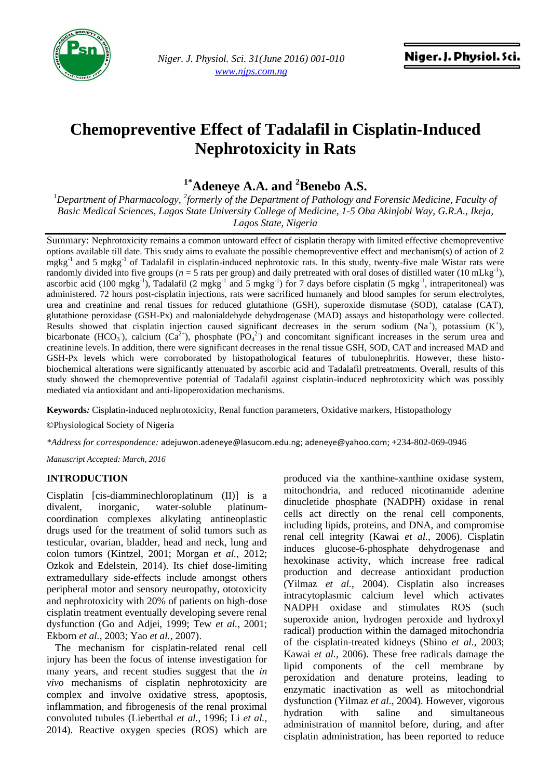

*Niger. J. Physiol. Sci. 31(June 2016) 001-010 www.njps.com.ng*

# **Chemopreventive Effect of Tadalafil in Cisplatin-Induced Nephrotoxicity in Rats**

**1\*Adeneye A.A. and <sup>2</sup>Benebo A.S.**

*<sup>1</sup>Department of Pharmacology, <sup>2</sup> formerly of the Department of Pathology and Forensic Medicine, Faculty of Basic Medical Sciences, Lagos State University College of Medicine, 1-5 Oba Akinjobi Way, G.R.A., Ikeja, Lagos State, Nigeria*

Summary: Nephrotoxicity remains a common untoward effect of cisplatin therapy with limited effective chemopreventive options available till date. This study aims to evaluate the possible chemopreventive effect and mechanism(s) of action of 2  $m$ gkg<sup>-1</sup> and 5 mgkg<sup>-1</sup> of Tadalafil in cisplatin-induced nephrotoxic rats. In this study, twenty-five male Wistar rats were randomly divided into five groups ( $n = 5$  rats per group) and daily pretreated with oral doses of distilled water (10 mLkg<sup>-1</sup>), ascorbic acid (100 mgkg<sup>-1</sup>), Tadalafil (2 mgkg<sup>-1</sup> and 5 mgkg<sup>-1</sup>) for 7 days before cisplatin (5 mgkg<sup>-1</sup>, intraperitoneal) was administered. 72 hours post-cisplatin injections, rats were sacrificed humanely and blood samples for serum electrolytes, urea and creatinine and renal tissues for reduced glutathione (GSH), superoxide dismutase (SOD), catalase (CAT), glutathione peroxidase (GSH-Px) and malonialdehyde dehydrogenase (MAD) assays and histopathology were collected. Results showed that cisplatin injection caused significant decreases in the serum sodium  $(Na^+)$ , potassium  $(K^+)$ , bicarbonate (HCO<sub>3</sub>), calcium ( $Ca^{2+}$ ), phosphate (PO<sub>4</sub><sup>2</sup>) and concomitant significant increases in the serum urea and creatinine levels. In addition, there were significant decreases in the renal tissue GSH, SOD, CAT and increased MAD and GSH-Px levels which were corroborated by histopathological features of tubulonephritis. However, these histobiochemical alterations were significantly attenuated by ascorbic acid and Tadalafil pretreatments. Overall, results of this study showed the chemopreventive potential of Tadalafil against cisplatin-induced nephrotoxicity which was possibly mediated via antioxidant and anti-lipoperoxidation mechanisms.

**Keywords***:* Cisplatin-induced nephrotoxicity, Renal function parameters, Oxidative markers, Histopathology

©Physiological Society of Nigeria

*\*Address for correspondence:* [adejuwon.adeneye@lasucom.edu.ng;](mailto:adejuwon.adeneye@lasucom.edu.ng) [adeneye@yahoo.com;](mailto:adeneye@yahoo.com) +234-802-069-0946

*Manuscript Accepted: March, 2016*

## **INTRODUCTION**

Cisplatin [cis-diamminechloroplatinum (II)] is a divalent, inorganic, water-soluble platinumcoordination complexes alkylating antineoplastic drugs used for the treatment of solid tumors such as testicular, ovarian, bladder, head and neck, lung and colon tumors (Kintzel, 2001; Morgan *et al.*, 2012; Ozkok and Edelstein, 2014). Its chief dose-limiting extramedullary side-effects include amongst others peripheral motor and sensory neuropathy, ototoxicity and nephrotoxicity with 20% of patients on high-dose cisplatin treatment eventually developing severe renal dysfunction (Go and Adjei, 1999; Tew *et al.*, 2001; Ekborn *et al.*, 2003; Yao *et al.*, 2007).

The mechanism for cisplatin-related renal cell injury has been the focus of intense investigation for many years, and recent studies suggest that the *in vivo* mechanisms of cisplatin nephrotoxicity are complex and involve oxidative stress, apoptosis, inflammation, and fibrogenesis of the renal proximal convoluted tubules (Lieberthal *et al.*, 1996; Li *et al.*, 2014). Reactive oxygen species (ROS) which are

produced via the xanthine-xanthine oxidase system, mitochondria, and reduced nicotinamide adenine dinucletide phosphate (NADPH) oxidase in renal cells act directly on the renal cell components, including lipids, proteins, and DNA, and compromise renal cell integrity (Kawai *et al.*, 2006). Cisplatin induces glucose-6-phosphate dehydrogenase and hexokinase activity, which increase free radical production and decrease antioxidant production (Yilmaz *et al.*, 2004). Cisplatin also increases intracytoplasmic calcium level which activates NADPH oxidase and stimulates ROS (such superoxide anion, hydrogen peroxide and hydroxyl radical) production within the damaged mitochondria of the cisplatin-treated kidneys (Shino *et al.*, 2003; Kawai *et al.*, 2006). These free radicals damage the lipid components of the cell membrane by peroxidation and denature proteins, leading to enzymatic inactivation as well as mitochondrial dysfunction (Yilmaz *et al.*, 2004). However, vigorous hydration with saline and simultaneous administration of mannitol before, during, and after cisplatin administration, has been reported to reduce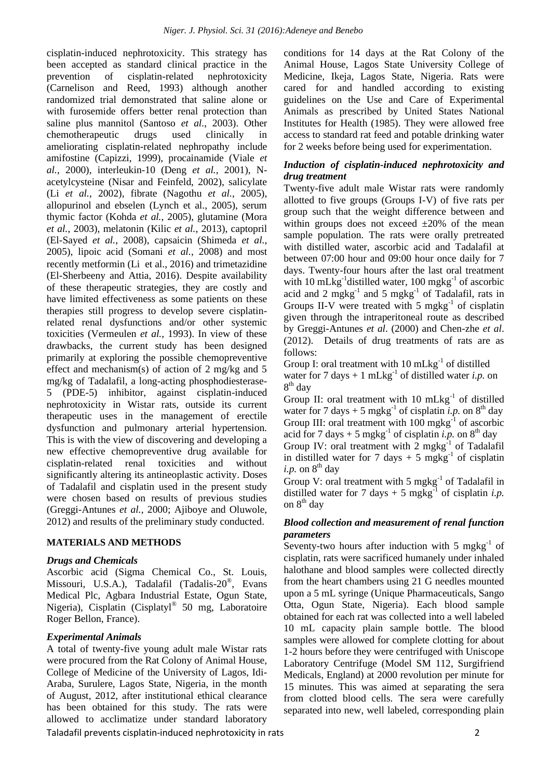cisplatin-induced nephrotoxicity. This strategy has been accepted as standard clinical practice in the prevention of cisplatin-related nephrotoxicity (Carnelison and Reed, 1993) although another randomized trial demonstrated that saline alone or with furosemide offers better renal protection than saline plus mannitol (Santoso *et al.*, 2003). Other chemotherapeutic drugs used clinically in ameliorating cisplatin-related nephropathy include amifostine (Capizzi, 1999), procainamide (Viale *et al.*, 2000), interleukin-10 (Deng *et al.*, 2001), Nacetylcysteine (Nisar and Feinfeld, 2002), salicylate (Li *et al.*, 2002), fibrate (Nagothu *et al.*, 2005), allopurinol and ebselen (Lynch et al., 2005), serum thymic factor (Kohda *et al.*, 2005), glutamine (Mora *et al.*, 2003), melatonin (Kilic *et al.*, 2013), captopril (El-Sayed *et al.*, 2008), capsaicin (Shimeda *et al.*, 2005), lipoic acid (Somani *et al.*, 2008) and most recently metformin (Li et al., 2016) and trimetazidine (El-Sherbeeny and Attia, 2016). Despite availability of these therapeutic strategies, they are costly and have limited effectiveness as some patients on these therapies still progress to develop severe cisplatinrelated renal dysfunctions and/or other systemic toxicities (Vermeulen *et al.*, 1993). In view of these drawbacks, the current study has been designed primarily at exploring the possible chemopreventive effect and mechanism(s) of action of 2 mg/kg and 5 mg/kg of Tadalafil, a long-acting phosphodiesterase-5 (PDE-5) inhibitor, against cisplatin-induced nephrotoxicity in Wistar rats, outside its current therapeutic uses in the management of erectile dysfunction and pulmonary arterial hypertension. This is with the view of discovering and developing a new effective chemopreventive drug available for cisplatin-related renal toxicities and without significantly altering its antineoplastic activity. Doses of Tadalafil and cisplatin used in the present study were chosen based on results of previous studies (Greggi-Antunes *et al.*, 2000; Ajiboye and Oluwole, 2012) and results of the preliminary study conducted.

## **MATERIALS AND METHODS**

## *Drugs and Chemicals*

Ascorbic acid (Sigma Chemical Co., St. Louis, Missouri, U.S.A.), Tadalafil (Tadalis-20<sup>®</sup>, Evans Medical Plc, Agbara Industrial Estate, Ogun State, Nigeria), Cisplatin (Cisplatyl® 50 mg, Laboratoire Roger Bellon, France).

## *Experimental Animals*

Taladafil prevents cisplatin-induced nephrotoxicity in rats 2 A total of twenty-five young adult male Wistar rats were procured from the Rat Colony of Animal House, College of Medicine of the University of Lagos, Idi-Araba, Surulere, Lagos State, Nigeria, in the month of August, 2012, after institutional ethical clearance has been obtained for this study. The rats were allowed to acclimatize under standard laboratory

conditions for 14 days at the Rat Colony of the Animal House, Lagos State University College of Medicine, Ikeja, Lagos State, Nigeria. Rats were cared for and handled according to existing guidelines on the Use and Care of Experimental Animals as prescribed by United States National Institutes for Health (1985). They were allowed free access to standard rat feed and potable drinking water for 2 weeks before being used for experimentation.

## *Induction of cisplatin-induced nephrotoxicity and drug treatment*

Twenty-five adult male Wistar rats were randomly allotted to five groups (Groups I-V) of five rats per group such that the weight difference between and within groups does not exceed  $\pm 20\%$  of the mean sample population. The rats were orally pretreated with distilled water, ascorbic acid and Tadalafil at between 07:00 hour and 09:00 hour once daily for 7 days. Twenty-four hours after the last oral treatment with 10 mLkg<sup>-1</sup> distilled water, 100 mgkg<sup>-1</sup> of ascorbic acid and 2 mgkg<sup>-1</sup> and 5 mgkg<sup>-1</sup> of Tadalafil, rats in Groups II-V were treated with  $5 \text{ mgkg}^{-1}$  of cisplatin given through the intraperitoneal route as described by Greggi-Antunes *et al*. (2000) and Chen-zhe *et al*. (2012). Details of drug treatments of rats are as follows:

Group I: oral treatment with  $10 \text{ mLkg}^{-1}$  of distilled water for 7 days  $+ 1$  mLkg<sup>-1</sup> of distilled water *i.p.* on 8<sup>th</sup> day

Group II: oral treatment with  $10 \text{ mLkg}^{-1}$  of distilled water for 7 days  $+ 5$  mgkg<sup>-1</sup> of cisplatin *i.p.* on 8<sup>th</sup> day Group III: oral treatment with  $100 \text{ mgkg}^{-1}$  of ascorbic acid for 7 days  $+ 5$  mgkg<sup>-1</sup> of cisplatin *i.p.* on 8<sup>th</sup> day Group IV: oral treatment with  $2 \text{ mgkg}^{-1}$  of Tadalafil in distilled water for 7 days  $+$  5 mgkg<sup>-1</sup> of cisplatin *i.p.* on  $8<sup>th</sup>$  day

Group V: oral treatment with 5  $m g kg^{-1}$  of Tadalafil in distilled water for 7 days  $+$  5 mgkg<sup>-1</sup> of cisplatin *i.p.* on  $8^{th}$  day

## *Blood collection and measurement of renal function parameters*

Seventy-two hours after induction with 5 mgkg $^{-1}$  of cisplatin, rats were sacrificed humanely under inhaled halothane and blood samples were collected directly from the heart chambers using 21 G needles mounted upon a 5 mL syringe (Unique Pharmaceuticals, Sango Otta, Ogun State, Nigeria). Each blood sample obtained for each rat was collected into a well labeled 10 mL capacity plain sample bottle. The blood samples were allowed for complete clotting for about 1-2 hours before they were centrifuged with Uniscope Laboratory Centrifuge (Model SM 112, Surgifriend Medicals, England) at 2000 revolution per minute for 15 minutes. This was aimed at separating the sera from clotted blood cells. The sera were carefully separated into new, well labeled, corresponding plain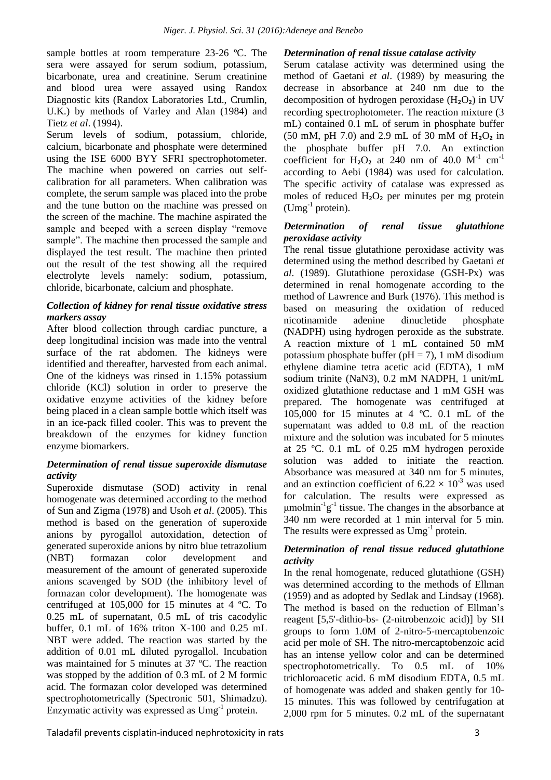sample bottles at room temperature 23-26 ºC. The sera were assayed for serum sodium, potassium, bicarbonate, urea and creatinine. Serum creatinine and blood urea were assayed using Randox Diagnostic kits (Randox Laboratories Ltd., Crumlin, U.K.) by methods of Varley and Alan (1984) and Tietz *et al*. (1994).

Serum levels of sodium, potassium, chloride, calcium, bicarbonate and phosphate were determined using the ISE 6000 BYY SFRI spectrophotometer. The machine when powered on carries out selfcalibration for all parameters. When calibration was complete, the serum sample was placed into the probe and the tune button on the machine was pressed on the screen of the machine. The machine aspirated the sample and beeped with a screen display "remove sample". The machine then processed the sample and displayed the test result. The machine then printed out the result of the test showing all the required electrolyte levels namely: sodium, potassium, chloride, bicarbonate, calcium and phosphate.

#### *Collection of kidney for renal tissue oxidative stress markers assay*

After blood collection through cardiac puncture, a deep longitudinal incision was made into the ventral surface of the rat abdomen. The kidneys were identified and thereafter, harvested from each animal. One of the kidneys was rinsed in 1.15% potassium chloride (KCl) solution in order to preserve the oxidative enzyme activities of the kidney before being placed in a clean sample bottle which itself was in an ice-pack filled cooler. This was to prevent the breakdown of the enzymes for kidney function enzyme biomarkers.

## *Determination of renal tissue superoxide dismutase activity*

Superoxide dismutase (SOD) activity in renal homogenate was determined according to the method of Sun and Zigma (1978) and Usoh *et al*. (2005). This method is based on the generation of superoxide anions by pyrogallol autoxidation, detection of generated superoxide anions by nitro blue tetrazolium (NBT) formazan color development and measurement of the amount of generated superoxide anions scavenged by SOD (the inhibitory level of formazan color development). The homogenate was centrifuged at 105,000 for 15 minutes at 4 ºC. To 0.25 mL of supernatant, 0.5 mL of tris cacodylic buffer, 0.1 mL of 16% triton X-100 and 0.25 mL NBT were added. The reaction was started by the addition of 0.01 mL diluted pyrogallol. Incubation was maintained for 5 minutes at 37 ºC. The reaction was stopped by the addition of 0.3 mL of 2 M formic acid. The formazan color developed was determined spectrophotometrically (Spectronic 501, Shimadzu). Enzymatic activity was expressed as Umg-1 protein.

#### *Determination of renal tissue catalase activity*

Serum catalase activity was determined using the method of Gaetani *et al*. (1989) by measuring the decrease in absorbance at 240 nm due to the decomposition of hydrogen peroxidase  $(H_2O_2)$  in UV recording spectrophotometer. The reaction mixture (3 mL) contained 0.1 mL of serum in phosphate buffer  $(50 \text{ mM}, \text{pH } 7.0)$  and 2.9 mL of 30 mM of  $H_2O_2$  in the phosphate buffer pH 7.0. An extinction coefficient for  $H_2O_2$  at 240 nm of 40.0 M<sup>-1</sup> cm<sup>-1</sup> according to Aebi (1984) was used for calculation. The specific activity of catalase was expressed as moles of reduced  $H_2O_2$  per minutes per mg protein  $(Umg^{-1}$  protein).

#### *Determination of renal tissue glutathione peroxidase activity*

The renal tissue glutathione peroxidase activity was determined using the method described by Gaetani *et al*. (1989). Glutathione peroxidase (GSH-Px) was determined in renal homogenate according to the method of Lawrence and Burk (1976). This method is based on measuring the oxidation of reduced nicotinamide adenine dinucletide phosphate (NADPH) using hydrogen peroxide as the substrate. A reaction mixture of 1 mL contained 50 mM potassium phosphate buffer ( $pH = 7$ ), 1 mM disodium ethylene diamine tetra acetic acid (EDTA), 1 mM sodium trinite (NaN3), 0.2 mM NADPH, 1 unit/mL oxidized glutathione reductase and 1 mM GSH was prepared. The homogenate was centrifuged at 105,000 for 15 minutes at 4 ºC. 0.1 mL of the supernatant was added to 0.8 mL of the reaction mixture and the solution was incubated for 5 minutes at 25 ºC. 0.1 mL of 0.25 mM hydrogen peroxide solution was added to initiate the reaction. Absorbance was measured at 340 nm for 5 minutes, and an extinction coefficient of  $6.22 \times 10^{-3}$  was used for calculation. The results were expressed as  $\mu$ molmin<sup>-1</sup>g<sup>-1</sup> tissue. The changes in the absorbance at 340 nm were recorded at 1 min interval for 5 min. The results were expressed as  $Umg^{-1}$  protein.

#### *Determination of renal tissue reduced glutathione activity*

In the renal homogenate, reduced glutathione (GSH) was determined according to the methods of Ellman (1959) and as adopted by Sedlak and Lindsay (1968). The method is based on the reduction of Ellman's reagent [5,5'-dithio-bs- (2-nitrobenzoic acid)] by SH groups to form 1.0M of 2-nitro-5-mercaptobenzoic acid per mole of SH. The nitro-mercaptobenzoic acid has an intense yellow color and can be determined spectrophotometrically. To 0.5 mL of 10% trichloroacetic acid. 6 mM disodium EDTA, 0.5 mL of homogenate was added and shaken gently for 10- 15 minutes. This was followed by centrifugation at 2,000 rpm for 5 minutes. 0.2 mL of the supernatant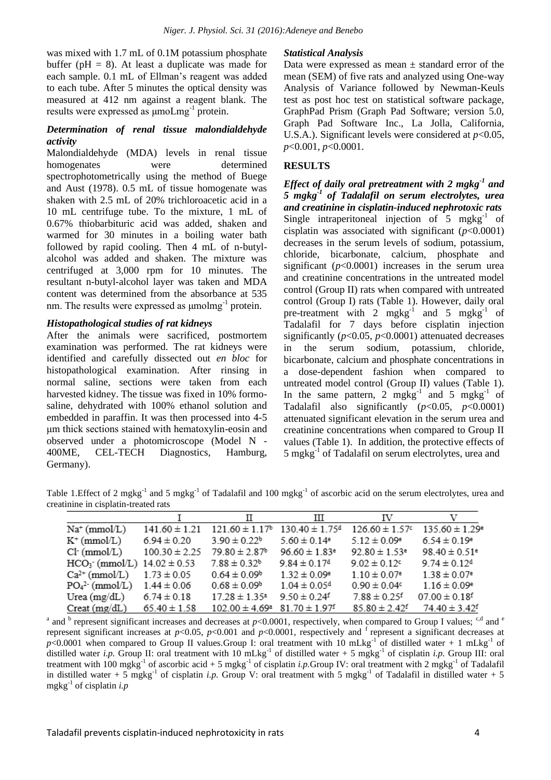was mixed with 1.7 mL of 0.1M potassium phosphate buffer ( $pH = 8$ ). At least a duplicate was made for each sample. 0.1 mL of Ellman's reagent was added to each tube. After 5 minutes the optical density was measured at 412 nm against a reagent blank. The results were expressed as μmoLmg<sup>-1</sup> protein.

#### *Determination of renal tissue malondialdehyde activity*

Malondialdehyde (MDA) levels in renal tissue homogenates were determined spectrophotometrically using the method of Buege and Aust (1978). 0.5 mL of tissue homogenate was shaken with 2.5 mL of 20% trichloroacetic acid in a 10 mL centrifuge tube. To the mixture, 1 mL of 0.67% thiobarbituric acid was added, shaken and warmed for 30 minutes in a boiling water bath followed by rapid cooling. Then 4 mL of n-butylalcohol was added and shaken. The mixture was centrifuged at 3,000 rpm for 10 minutes. The resultant n-butyl-alcohol layer was taken and MDA content was determined from the absorbance at 535 nm. The results were expressed as  $\mu$ molmg $^{-1}$  protein.

#### *Histopathological studies of rat kidneys*

After the animals were sacrificed, postmortem examination was performed. The rat kidneys were identified and carefully dissected out *en bloc* for histopathological examination. After rinsing in normal saline, sections were taken from each harvested kidney. The tissue was fixed in 10% formosaline, dehydrated with 100% ethanol solution and embedded in paraffin. It was then processed into 4-5 μm thick sections stained with hematoxylin-eosin and observed under a photomicroscope (Model N - 400ME, CEL-TECH Diagnostics, Hamburg, Germany).

#### *Statistical Analysis*

Data were expressed as mean  $\pm$  standard error of the mean (SEM) of five rats and analyzed using One-way Analysis of Variance followed by Newman-Keuls test as post hoc test on statistical software package, GraphPad Prism (Graph Pad Software; version 5.0, Graph Pad Software Inc., La Jolla, California, U.S.A.). Significant levels were considered at *p*<0.05, *p*<0.001, *p*<0.0001.

#### **RESULTS**

*Effect of daily oral pretreatment with 2 mgkg-1 and 5 mgkg-1 of Tadalafil on serum electrolytes, urea and creatinine in cisplatin-induced nephrotoxic rats*  Single intraperitoneal injection of  $5 \text{ mgkg}^{-1}$  of cisplatin was associated with significant  $(p<0.0001)$ decreases in the serum levels of sodium, potassium, chloride, bicarbonate, calcium, phosphate and significant  $(p<0.0001)$  increases in the serum urea and creatinine concentrations in the untreated model control (Group II) rats when compared with untreated control (Group I) rats (Table 1). However, daily oral pre-treatment with 2 mgkg<sup>-1</sup> and 5 mgkg<sup>-1</sup> of Tadalafil for 7 days before cisplatin injection significantly (*p*<0.05, *p*<0.0001) attenuated decreases in the serum sodium, potassium, chloride, bicarbonate, calcium and phosphate concentrations in a dose-dependent fashion when compared to untreated model control (Group II) values (Table 1). In the same pattern, 2 mgkg<sup>-1</sup> and 5 mgkg<sup>-1</sup> of Tadalafil also significantly (*p*<0.05, *p*<0.0001) attenuated significant elevation in the serum urea and creatinine concentrations when compared to Group II values (Table 1). In addition, the protective effects of 5 mgkg<sup>-1</sup> of Tadalafil on serum electrolytes, urea and

Table 1. Effect of 2 mgkg<sup>-1</sup> and 5 mgkg<sup>-1</sup> of Tadalafil and 100 mgkg<sup>-1</sup> of ascorbic acid on the serum electrolytes, urea and creatinine in cisplatin-treated rats

|                                  |                   | П                              | Ш                              | IV                            |                                |
|----------------------------------|-------------------|--------------------------------|--------------------------------|-------------------------------|--------------------------------|
| $Na^+(mmol/L)$                   | $141.60 \pm 1.21$ | $121.60 \pm 1.17$ <sup>b</sup> | $130.40 \pm 1.75$ <sup>d</sup> | $126.60 \pm 1.57$             | $135.60 \pm 1.29$ <sup>e</sup> |
| $K^+$ (mmol/L)                   | $6.94 \pm 0.20$   | $3.90 \pm 0.22$ <sup>b</sup>   | $5.60 \pm 0.14$ <sup>e</sup>   | $5.12 \pm 0.09$ <sup>e</sup>  | $6.54 \pm 0.19$ <sup>e</sup>   |
| $Cl-$ (mmol/L)                   | $100.30 \pm 2.25$ | $79.80 \pm 2.87$ <sup>b</sup>  | $96.60 \pm 1.83$ <sup>e</sup>  | $92.80 \pm 1.53$ <sup>e</sup> | $98.40 \pm 0.51$ <sup>e</sup>  |
| $HCO3$ (mmol/L) $14.02 \pm 0.53$ |                   | $7.88 \pm 0.32^b$              | $9.84 \pm 0.17$ <sup>d</sup>   | $9.02 \pm 0.12$               | $9.74 \pm 0.12$ <sup>d</sup>   |
| $Ca^{2+}$ (mmol/L)               | $1.73 \pm 0.05$   | $0.64 \pm 0.09^b$              | $1.32 \pm 0.09$ <sup>e</sup>   | $1.10 \pm 0.07$ <sup>e</sup>  | $1.38 \pm 0.07$ <sup>e</sup>   |
| $PO42$ (mmol/L)                  | $1.44 \pm 0.06$   | $0.68 \pm 0.09^b$              | $1.04 \pm 0.05$ <sup>d</sup>   | $0.90 \pm 0.04$               | $1.16 \pm 0.09$ <sup>e</sup>   |
| Urea $(mg/dL)$                   | $6.74 \pm 0.18$   | $17.28 \pm 1.35^{\circ}$       | $9.50 \pm 0.24$ <sup>f</sup>   | $7.88 \pm 0.25$ <sup>f</sup>  | $07.00 \pm 0.18$ <sup>f</sup>  |
| $Creat$ (mg/dL)                  | $65.40 \pm 1.58$  | $102.00 \pm 4.69^{\text{a}}$   | $81.70 \pm 1.97$ <sup>f</sup>  | $85.80 \pm 2.42$ <sup>f</sup> | $74.40 \pm 3.42$ <sup>f</sup>  |

<sup>a</sup> and <sup>b</sup> represent significant increases and decreases at  $p<0.0001$ , respectively, when compared to Group I values; <sup>c,d</sup> and <sup>e</sup> represent significant increases at  $p<0.05$ ,  $p<0.001$  and  $p<0.0001$ , respectively and <sup>f</sup> represent a significant decreases at  $p$ <0.0001 when compared to Group II values.Group I: oral treatment with 10 mLkg<sup>-1</sup> of distilled water + 1 mLkg<sup>-1</sup> of distilled water *i.p.* Group II: oral treatment with 10  $mLkg^{-1}$  of distilled water + 5 mgkg<sup>-1</sup> of cisplatin *i.p.* Group III: oral treatment with 100 mgkg<sup>-1</sup> of ascorbic acid + 5 mgkg<sup>-1</sup> of cisplatin *i.p*.Group IV: oral treatment with 2 mgkg<sup>-1</sup> of Tadalafil in distilled water + 5 mgkg<sup>-1</sup> of cisplatin *i.p.* Group V: oral treatment with 5 mgkg<sup>-1</sup> of Tadalafil in distilled water + 5 mgkg-1 of cisplatin *i.p*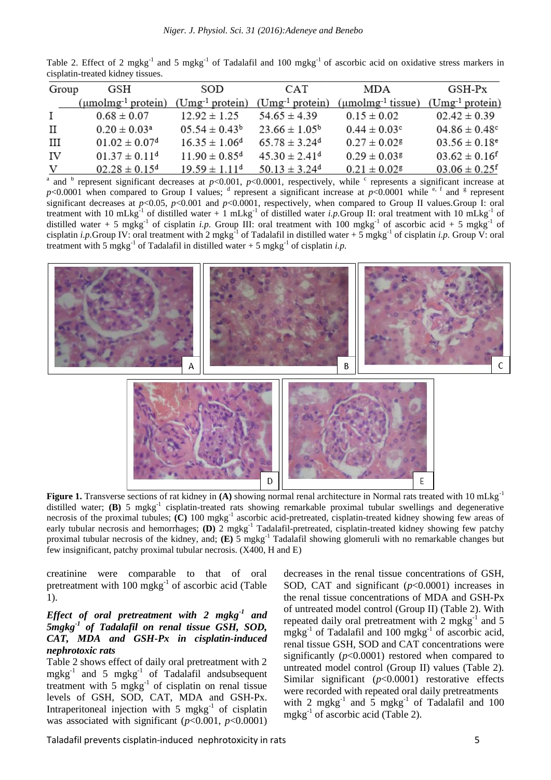|       | Table 2. Effect of 2 mgkg <sup>-1</sup> and 5 mgkg <sup>-1</sup> of Tadalafil and 100 mgkg <sup>-1</sup> of ascorbic acid on oxidative stress markers in |      |                  |      |  |                    |  |
|-------|----------------------------------------------------------------------------------------------------------------------------------------------------------|------|------------------|------|--|--------------------|--|
|       | cisplatin-treated kidney tissues.                                                                                                                        |      |                  |      |  |                    |  |
| Group | <b>GSH</b>                                                                                                                                               | SOD. | CAT <sup>.</sup> | MD A |  | GSH <sub>-Px</sub> |  |

| Group        | GSH                                              | SOD.                          | <b>CAT</b>                    | MDA                                             | GSH-Px                        |  |
|--------------|--------------------------------------------------|-------------------------------|-------------------------------|-------------------------------------------------|-------------------------------|--|
|              | $(\mu \text{mol} \text{mg}^{-1} \text{protein})$ | $(Umg^{-1}$ protein)          | $(Umg^{-1}$ protein)          | $(\mu \text{mol} \text{mg}^{-1} \text{tissue})$ | $(Umg^{-1}$ protein)          |  |
| $\mathbf{I}$ | $0.68 \pm 0.07$                                  | $12.92 \pm 1.25$              | $54.65 \pm 4.39$              | $0.15 \pm 0.02$                                 | $02.42 \pm 0.39$              |  |
| $\mathbf{H}$ | $0.20 \pm 0.03^a$                                | $0.554 \pm 0.43^b$            | $23.66 \pm 1.05^{\circ}$      | $0.44 \pm 0.03$ <sup>c</sup>                    | $04.86 \pm 0.48$ <sup>c</sup> |  |
| Ш            | $01.02 \pm 0.07$ <sup>d</sup>                    | $16.35 \pm 1.06^{\circ}$      | $65.78 \pm 3.24$ <sup>d</sup> | $0.27 \pm 0.02$ <sup>g</sup>                    | $03.56 \pm 0.18$ <sup>e</sup> |  |
| IV           | $01.37 \pm 0.11^d$                               | $11.90 \pm 0.85$ <sup>d</sup> | $45.30 \pm 2.41$ <sup>d</sup> | $0.29 \pm 0.038$                                | $03.62 \pm 0.16$ <sup>f</sup> |  |
| V            | $02.28 \pm 0.15^d$                               | $19.59 \pm 1.11$ <sup>d</sup> | $50.13 \pm 3.24$ <sup>d</sup> | $0.21 \pm 0.02$ $\epsilon$                      | $03.06 \pm 0.25$ <sup>f</sup> |  |

<sup>a</sup> and <sup>b</sup> represent significant decreases at  $p<0.001$ ,  $p<0.0001$ , respectively, while <sup>c</sup> represents a significant increase at  $p$ <0.0001 when compared to Group I values; <sup>d</sup> represent a significant increase at  $p$ <0.0001 while <sup>e, f</sup> and <sup>g</sup> represent significant decreases at *p*<0.05, *p*<0.001 and *p*<0.0001, respectively, when compared to Group II values.Group I: oral treatment with 10 mLkg<sup>-1</sup> of distilled water + 1 mLkg<sup>-1</sup> of distilled water *i.p*.Group II: oral treatment with 10 mLkg<sup>-1</sup> of distilled water + 5 mgkg<sup>-1</sup> of cisplatin *i.p.* Group III: oral treatment with 100 mgkg<sup>-1</sup> of ascorbic acid + 5 mgkg<sup>-1</sup> of cisplatin *i.p*.Group IV: oral treatment with 2 mgkg<sup>-1</sup> of Tadalafil in distilled water + 5 mgkg<sup>-1</sup> of cisplatin *i.p.* Group V: oral treatment with 5 mgkg<sup>-1</sup> of Tadalafil in distilled water  $+$  5 mgkg<sup>-1</sup> of cisplatin *i.p.* 



**Figure 1.** Transverse sections of rat kidney in **(A)** showing normal renal architecture in Normal rats treated with 10 mLkg<sup>-1</sup> distilled water; **(B)** 5 mgkg<sup>-1</sup> cisplatin-treated rats showing remarkable proximal tubular swellings and degenerative necrosis of the proximal tubules; **(C)** 100 mgkg<sup>-1</sup> ascorbic acid-pretreated, cisplatin-treated kidney showing few areas of early tubular necrosis and hemorrhages; **(D)** 2 mgkg<sup>-1</sup> Tadalafil-pretreated, cisplatin-treated kidney showing few patchy proximal tubular necrosis of the kidney, and; **(E)** 5 mgkg-1 Tadalafil showing glomeruli with no remarkable changes but few insignificant, patchy proximal tubular necrosis. (X400, H and E)

creatinine were comparable to that of oral pretreatment with  $100 \text{ m}$ gkg<sup>-1</sup> of ascorbic acid (Table 1).

## *Effect of oral pretreatment with 2 mgkg-1 and 5mgkg-1 of Tadalafil on renal tissue GSH, SOD, CAT, MDA and GSH-Px in cisplatin-induced nephrotoxic rats*

Table 2 shows effect of daily oral pretreatment with 2 mgkg<sup>-1</sup> and 5 mgkg<sup>-1</sup> of Tadalafil andsubsequent treatment with  $5 \text{ mgkg}^{-1}$  of cisplatin on renal tissue levels of GSH, SOD, CAT, MDA and GSH-Px. Intraperitoneal injection with 5 mgkg<sup>-1</sup> of cisplatin was associated with significant  $(p<0.001, p<0.0001)$ 

decreases in the renal tissue concentrations of GSH, SOD, CAT and significant (*p*<0.0001) increases in the renal tissue concentrations of MDA and GSH-Px of untreated model control (Group II) (Table 2). With repeated daily oral pretreatment with 2 mgkg $^{-1}$  and 5  $m\bar{g}kg^{-1}$  of Tadalafil and 100  $m\bar{g}kg^{-1}$  of ascorbic acid, renal tissue GSH, SOD and CAT concentrations were significantly (*p*<0.0001) restored when compared to untreated model control (Group II) values (Table 2). Similar significant ( $p$ <0.0001) restorative effects were recorded with repeated oral daily pretreatments with 2 mgkg<sup>-1</sup> and  $\bar{5}$  mgkg<sup>-1</sup> of Tadalafil and 100 mgkg<sup>-1</sup> of ascorbic acid (Table 2).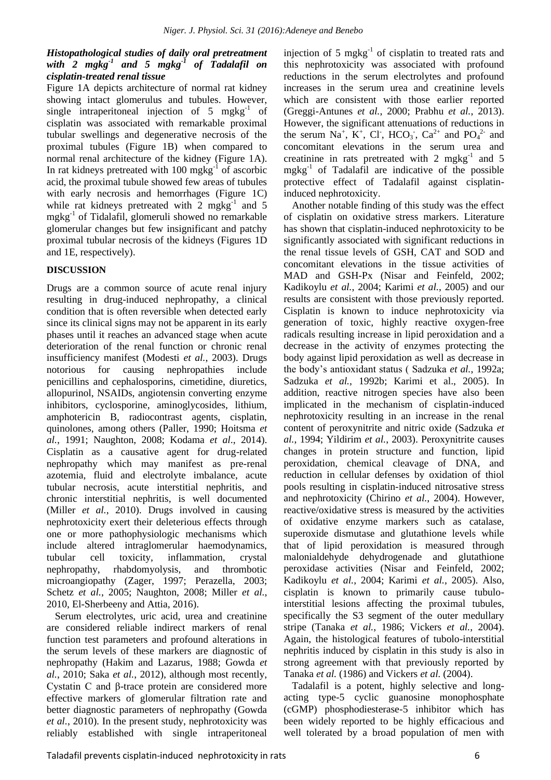#### *Histopathological studies of daily oral pretreatment with 2 mgkg-1 and 5 mgkg-1 of Tadalafil on cisplatin-treated renal tissue*

Figure 1A depicts architecture of normal rat kidney showing intact glomerulus and tubules. However, single intraperitoneal injection of  $5 \text{ mgkg}^{-1}$  of cisplatin was associated with remarkable proximal tubular swellings and degenerative necrosis of the proximal tubules (Figure 1B) when compared to normal renal architecture of the kidney (Figure 1A). In rat kidneys pretreated with  $100 \text{ mgkg}^{-1}$  of ascorbic acid, the proximal tubule showed few areas of tubules with early necrosis and hemorrhages (Figure 1C) while rat kidneys pretreated with  $2 \text{ mgkg}^{-1}$  and  $5$ mgkg-1 of Tidalafil, glomeruli showed no remarkable glomerular changes but few insignificant and patchy proximal tubular necrosis of the kidneys (Figures 1D and 1E, respectively).

# **DISCUSSION**

Drugs are a common source of acute renal injury resulting in drug-induced nephropathy, a clinical condition that is often reversible when detected early since its clinical signs may not be apparent in its early phases until it reaches an advanced stage when acute deterioration of the renal function or chronic renal insufficiency manifest (Modesti *et al.*, 2003). Drugs notorious for causing nephropathies include penicillins and cephalosporins, cimetidine, diuretics, allopurinol, NSAIDs, angiotensin converting enzyme inhibitors, cyclosporine, aminoglycosides, lithium, amphotericin B, radiocontrast agents, cisplatin, quinolones, among others (Paller, 1990; Hoitsma *et al.*, 1991; Naughton, 2008; Kodama *et al*., 2014). Cisplatin as a causative agent for drug-related nephropathy which may manifest as pre-renal azotemia, fluid and electrolyte imbalance, acute tubular necrosis, acute interstitial nephritis, and chronic interstitial nephritis, is well documented (Miller *et al.*, 2010). Drugs involved in causing nephrotoxicity exert their deleterious effects through one or more pathophysiologic mechanisms which include altered intraglomerular haemodynamics, tubular cell toxicity, inflammation, crystal nephropathy, rhabdomyolysis, and thrombotic microangiopathy (Zager, 1997; Perazella, 2003; Schetz *et al.*, 2005; Naughton, 2008; Miller *et al.*, 2010, El-Sherbeeny and Attia, 2016).

Serum electrolytes, uric acid, urea and creatinine are considered reliable indirect markers of renal function test parameters and profound alterations in the serum levels of these markers are diagnostic of nephropathy (Hakim and Lazarus, 1988; Gowda *et al.*, 2010; Saka *et al.*, 2012), although most recently, Cystatin C and β-trace protein are considered more effective markers of glomerular filtration rate and better diagnostic parameters of nephropathy (Gowda *et al.*, 2010). In the present study, nephrotoxicity was reliably established with single intraperitoneal

injection of 5 mgkg $^{-1}$  of cisplatin to treated rats and this nephrotoxicity was associated with profound reductions in the serum electrolytes and profound increases in the serum urea and creatinine levels which are consistent with those earlier reported (Greggi-Antunes *et al.*, 2000; Prabhu *et al.*, 2013). However, the significant attenuations of reductions in the serum Na<sup>+</sup>, K<sup>+</sup>, Cl<sup>-</sup>, HCO<sub>3</sub><sup>-</sup>, Ca<sup>2+</sup> and PO<sub>4</sub><sup>2-</sup> and concomitant elevations in the serum urea and creatinine in rats pretreated with 2  $m g k g^{-1}$  and 5 mgkg-1 of Tadalafil are indicative of the possible protective effect of Tadalafil against cisplatininduced nephrotoxicity.

Another notable finding of this study was the effect of cisplatin on oxidative stress markers. Literature has shown that cisplatin-induced nephrotoxicity to be significantly associated with significant reductions in the renal tissue levels of GSH, CAT and SOD and concomitant elevations in the tissue activities of MAD and GSH-Px (Nisar and Feinfeld, 2002; Kadikoylu *et al.*, 2004; Karimi *et al.*, 2005) and our results are consistent with those previously reported. Cisplatin is known to induce nephrotoxicity via generation of toxic, highly reactive oxygen-free radicals resulting increase in lipid peroxidation and a decrease in the activity of enzymes protecting the body against lipid peroxidation as well as decrease in the body's antioxidant status ( Sadzuka *et al.*, 1992a; Sadzuka *et al.*, 1992b; Karimi et al., 2005). In addition, reactive nitrogen species have also been implicated in the mechanism of cisplatin-induced nephrotoxicity resulting in an increase in the renal content of peroxynitrite and nitric oxide (Sadzuka *et al.*, 1994; Yildirim *et al.*, 2003). Peroxynitrite causes changes in protein structure and function, lipid peroxidation, chemical cleavage of DNA, and reduction in cellular defenses by oxidation of thiol pools resulting in cisplatin-induced nitrosative stress and nephrotoxicity (Chirino *et al.*, 2004). However, reactive/oxidative stress is measured by the activities of oxidative enzyme markers such as catalase, superoxide dismutase and glutathione levels while that of lipid peroxidation is measured through malonialdehyde dehydrogenade and glutathione peroxidase activities (Nisar and Feinfeld, 2002; Kadikoylu *et al.*, 2004; Karimi *et al.*, 2005). Also, cisplatin is known to primarily cause tubulointerstitial lesions affecting the proximal tubules, specifically the S3 segment of the outer medullary stripe (Tanaka *et al.*, 1986; Vickers *et al.*, 2004). Again, the histological features of tubolo-interstitial nephritis induced by cisplatin in this study is also in strong agreement with that previously reported by Tanaka *et al.* (1986) and Vickers *et al.* (2004).

Tadalafil is a potent, highly selective and longacting type-5 cyclic guanosine monophosphate (cGMP) phosphodiesterase-5 inhibitor which has been widely reported to be highly efficacious and well tolerated by a broad population of men with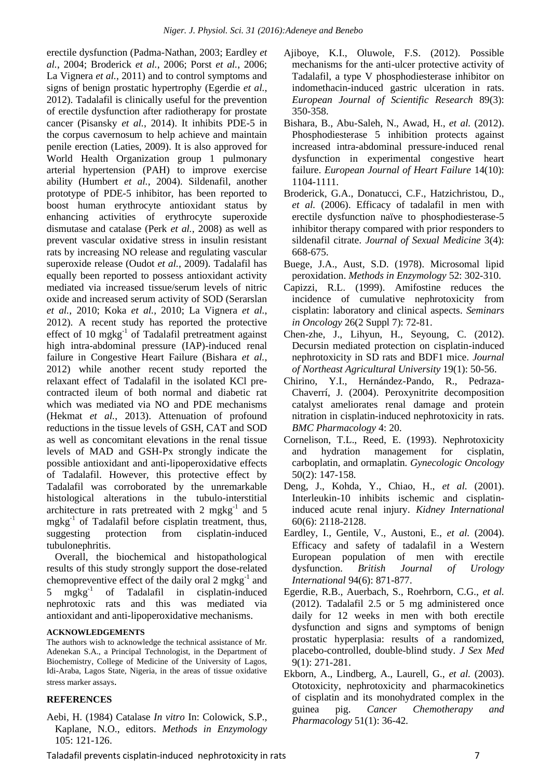erectile dysfunction (Padma-Nathan, 2003; Eardley *et al.*, 2004; Broderick *et al.*, 2006; Porst *et al.*, 2006; La Vignera *et al.*, 2011) and to control symptoms and signs of benign prostatic hypertrophy (Egerdie *et al.*, 2012). Tadalafil is clinically useful for the prevention of erectile dysfunction after radiotherapy for prostate cancer (Pisansky *et al.*, 2014). It inhibits PDE-5 in the corpus cavernosum to help achieve and maintain penile erection (Laties, 2009). It is also approved for World Health Organization group 1 pulmonary arterial hypertension (PAH) to improve exercise ability (Humbert *et al.*, 2004). Sildenafil, another prototype of PDE-5 inhibitor, has been reported to boost human erythrocyte antioxidant status by enhancing activities of erythrocyte superoxide dismutase and catalase (Perk *et al.*, 2008) as well as prevent vascular oxidative stress in insulin resistant rats by increasing NO release and regulating vascular superoxide release (Oudot *et al.*, 2009). Tadalafil has equally been reported to possess antioxidant activity mediated via increased tissue/serum levels of nitric oxide and increased serum activity of SOD (Serarslan *et al.*, 2010; Koka *et al.*, 2010; La Vignera *et al.*, 2012). A recent study has reported the protective effect of 10 mgkg<sup>-1</sup> of Tadalafil pretreatment against high intra-abdominal pressure (IAP)-induced renal failure in Congestive Heart Failure (Bishara *et al.*, 2012) while another recent study reported the relaxant effect of Tadalafil in the isolated KCl precontracted ileum of both normal and diabetic rat which was mediated via NO and PDE mechanisms (Hekmat *et al.*, 2013). Attenuation of profound reductions in the tissue levels of GSH, CAT and SOD as well as concomitant elevations in the renal tissue levels of MAD and GSH-Px strongly indicate the possible antioxidant and anti-lipoperoxidative effects of Tadalafil. However, this protective effect by Tadalafil was corroborated by the unremarkable histological alterations in the tubulo-interstitial architecture in rats pretreated with  $2 \text{ mgkg}^{-1}$  and  $5$ mgkg-1 of Tadalafil before cisplatin treatment, thus, suggesting protection from cisplatin-induced tubulonephritis.

Overall, the biochemical and histopathological results of this study strongly support the dose-related chemopreventive effect of the daily oral  $2 \text{ mgkg}^{-1}$  and 5  $m\bar{g}kg^{-1}$ of Tadalafil in cisplatin-induced nephrotoxic rats and this was mediated via antioxidant and anti-lipoperoxidative mechanisms.

#### **ACKNOWLEDGEMENTS**

The authors wish to acknowledge the technical assistance of Mr. Adenekan S.A., a Principal Technologist, in the Department of Biochemistry, College of Medicine of the University of Lagos, Idi-Araba, Lagos State, Nigeria, in the areas of tissue oxidative stress marker assays.

#### **REFERENCES**

Aebi, H. (1984) Catalase *In vitro* In: Colowick, S.P., Kaplane, N.O., editors. *Methods in Enzymology* 105: 121-126.

- Ajiboye, K.I., Oluwole, F.S. (2012). Possible mechanisms for the anti-ulcer protective activity of Tadalafil, a type V phosphodiesterase inhibitor on indomethacin-induced gastric ulceration in rats. *European Journal of Scientific Research* 89(3): 350-358.
- Bishara, B., Abu-Saleh, N., Awad, H., *et al.* (2012). Phosphodiesterase 5 inhibition protects against increased intra-abdominal pressure-induced renal dysfunction in experimental congestive heart failure. *European Journal of Heart Failure* 14(10): 1104-1111.
- Broderick, G.A., Donatucci, C.F., Hatzichristou, D., *et al.* (2006). Efficacy of tadalafil in men with erectile dysfunction naïve to phosphodiesterase-5 inhibitor therapy compared with prior responders to sildenafil citrate. *Journal of Sexual Medicine* 3(4): 668-675.
- Buege, J.A., Aust, S.D. (1978). Microsomal lipid peroxidation. *Methods in Enzymology* 52: 302-310.
- Capizzi, R.L. (1999). Amifostine reduces the incidence of cumulative nephrotoxicity from cisplatin: laboratory and clinical aspects. *Seminars in Oncology* 26(2 Suppl 7): 72-81.
- Chen-zhe, J., Lihyun, H., Seyoung, C. (2012). Decursin mediated protection on cisplatin-induced nephrotoxicity in SD rats and BDF1 mice. *Journal of Northeast Agricultural University* 19(1): 50-56.
- Chirino, Y.I., Hernández-Pando, R., Pedraza-Chaverrí, J. (2004). Peroxynitrite decomposition catalyst ameliorates renal damage and protein nitration in cisplatin-induced nephrotoxicity in rats. *BMC Pharmacology* 4: 20.
- Cornelison, T.L., Reed, E. (1993). Nephrotoxicity and hydration management for cisplatin, carboplatin, and ormaplatin. *Gynecologic Oncology* 50(2): 147-158.
- Deng, J., Kohda, Y., Chiao, H., *et al.* (2001). Interleukin-10 inhibits ischemic and cisplatininduced acute renal injury. *Kidney International* 60(6): 2118-2128.
- Eardley, I., Gentile, V., Austoni, E., *et al.* (2004). Efficacy and safety of tadalafil in a Western European population of men with erectile dysfunction. *British Journal of Urology International* 94(6): 871-877.
- Egerdie, R.B., Auerbach, S., Roehrborn, C.G., *et al.* (2012). Tadalafil 2.5 or 5 mg administered once daily for 12 weeks in men with both erectile dysfunction and signs and symptoms of benign prostatic hyperplasia: results of a randomized, placebo-controlled, double-blind study. *J Sex Med* 9(1): 271-281.
- Ekborn, A., Lindberg, A., Laurell, G., *et al.* (2003). Ototoxicity, nephrotoxicity and pharmacokinetics of cisplatin and its monohydrated complex in the guinea pig. *Cancer Chemotherapy and Pharmacology* 51(1): 36-42.

Taladafil prevents cisplatin-induced nephrotoxicity in rats 7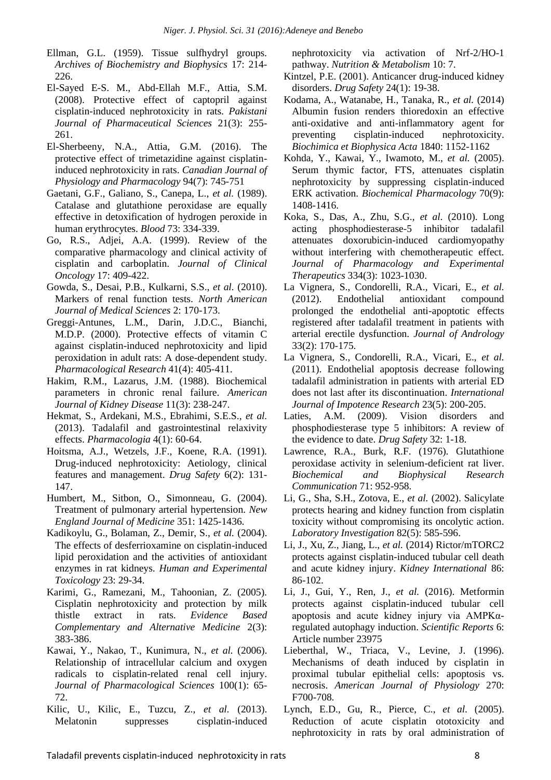Ellman, G.L. (1959). Tissue sulfhydryl groups. *Archives of Biochemistry and Biophysics* 17: 214- 226.

- El-Sayed E-S. M., Abd-Ellah M.F., Attia, S.M. (2008). Protective effect of captopril against cisplatin-induced nephrotoxicity in rats. *Pakistani Journal of Pharmaceutical Sciences* 21(3): 255- 261.
- El-Sherbeeny, N.A., Attia, G.M. (2016). The protective effect of trimetazidine against cisplatininduced nephrotoxicity in rats. *Canadian Journal of Physiology and Pharmacology* 94(7): 745-751
- Gaetani, G.F., Galiano, S., Canepa, L., *et al.* (1989). Catalase and glutathione peroxidase are equally effective in detoxification of hydrogen peroxide in human erythrocytes. *Blood* 73: 334-339.
- Go, R.S., Adjei, A.A. (1999). Review of the comparative pharmacology and clinical activity of cisplatin and carboplatin. *Journal of Clinical Oncology* 17: 409-422.
- Gowda, S., Desai, P.B., Kulkarni, S.S., *et al.* (2010). Markers of renal function tests. *North American Journal of Medical Sciences* 2: 170-173.
- Greggi-Antunes, L.M., Darin, J.D.C., Bianchi, M.D.P. (2000). Protective effects of vitamin C against cisplatin-induced nephrotoxicity and lipid peroxidation in adult rats: A dose-dependent study. *Pharmacological Research* 41(4): 405-411.
- Hakim, R.M., Lazarus, J.M. (1988). Biochemical parameters in chronic renal failure. *American Journal of Kidney Disease* 11(3): 238-247.
- Hekmat, S., Ardekani, M.S., Ebrahimi, S.E.S., *et al.* (2013). Tadalafil and gastrointestinal relaxivity effects. *Pharmacologia* 4(1): 60-64.
- Hoitsma, A.J., Wetzels, J.F., Koene, R.A. (1991). Drug-induced nephrotoxicity: Aetiology, clinical features and management. *Drug Safety* 6(2): 131- 147.
- Humbert, M., Sitbon, O., Simonneau, G. (2004). Treatment of pulmonary arterial hypertension. *New England Journal of Medicine* 351: 1425-1436.
- Kadikoylu, G., Bolaman, Z., Demir, S., *et al.* (2004). The effects of desferrioxamine on cisplatin-induced lipid peroxidation and the activities of antioxidant enzymes in rat kidneys. *Human and Experimental Toxicology* 23: 29-34.
- Karimi, G., Ramezani, M., Tahoonian, Z. (2005). Cisplatin nephrotoxicity and protection by milk thistle extract in rats. *Evidence Based Complementary and Alternative Medicine* 2(3): 383-386.
- Kawai, Y., Nakao, T., Kunimura, N., *et al.* (2006). Relationship of intracellular calcium and oxygen radicals to cisplatin-related renal cell injury. *Journal of Pharmacological Sciences* 100(1): 65- 72.
- Kilic, U., Kilic, E., Tuzcu, Z., *et al.* (2013). Melatonin suppresses cisplatin-induced

nephrotoxicity via activation of Nrf-2/HO-1 pathway. *Nutrition & Metabolism* 10: 7.

- Kintzel, P.E. (2001). Anticancer drug-induced kidney disorders. *Drug Safety* 24(1): 19-38.
- Kodama, A., Watanabe, H., Tanaka, R., *et al.* (2014) Albumin fusion renders thioredoxin an effective anti-oxidative and anti-inflammatory agent for preventing cisplatin-induced nephrotoxicity. *Biochimica et Biophysica Acta* 1840: 1152-1162
- Kohda, Y., Kawai, Y., Iwamoto, M., *et al.* (2005). Serum thymic factor, FTS, attenuates cisplatin nephrotoxicity by suppressing cisplatin-induced ERK activation. *Biochemical Pharmacology* 70(9): 1408-1416.
- Koka, S., Das, A., Zhu, S.G., *et al.* (2010). Long acting phosphodiesterase-5 inhibitor tadalafil attenuates doxorubicin-induced cardiomyopathy without interfering with chemotherapeutic effect. *Journal of Pharmacology and Experimental Therapeutics* 334(3): 1023-1030.
- La Vignera, S., Condorelli, R.A., Vicari, E., *et al.* (2012). Endothelial antioxidant compound prolonged the endothelial anti-apoptotic effects registered after tadalafil treatment in patients with arterial erectile dysfunction. *Journal of Andrology* 33(2): 170-175.
- La Vignera, S., Condorelli, R.A., Vicari, E., *et al.* (2011). Endothelial apoptosis decrease following tadalafil administration in patients with arterial ED does not last after its discontinuation. *International Journal of Impotence Research* 23(5): 200-205.
- Laties, A.M. (2009). Vision disorders and phosphodiesterase type 5 inhibitors: A review of the evidence to date. *Drug Safety* 32: 1-18.
- Lawrence, R.A., Burk, R.F. (1976). Glutathione peroxidase activity in selenium-deficient rat liver. *Biochemical and Biophysical Research Communication* 71: 952-958.
- Li, G., Sha, S.H., Zotova, E., *et al.* (2002). Salicylate protects hearing and kidney function from cisplatin toxicity without compromising its oncolytic action. *Laboratory Investigation* 82(5): 585-596.
- Li, J., Xu, Z., Jiang, L., *et al.* (2014) Rictor/mTORC2 protects against cisplatin-induced tubular cell death and acute kidney injury. *Kidney International* 86: 86-102.
- Li, J., Gui, Y., Ren, J., *et al.* (2016). Metformin protects against cisplatin-induced tubular cell apoptosis and acute kidney injury via AMPKαregulated autophagy induction. *Scientific Reports* 6: Article number 23975
- Lieberthal, W., Triaca, V., Levine, J. (1996). Mechanisms of death induced by cisplatin in proximal tubular epithelial cells: apoptosis vs. necrosis. *American Journal of Physiology* 270: F700-708.
- Lynch, E.D., Gu, R., Pierce, C., *et al.* (2005). Reduction of acute cisplatin ototoxicity and nephrotoxicity in rats by oral administration of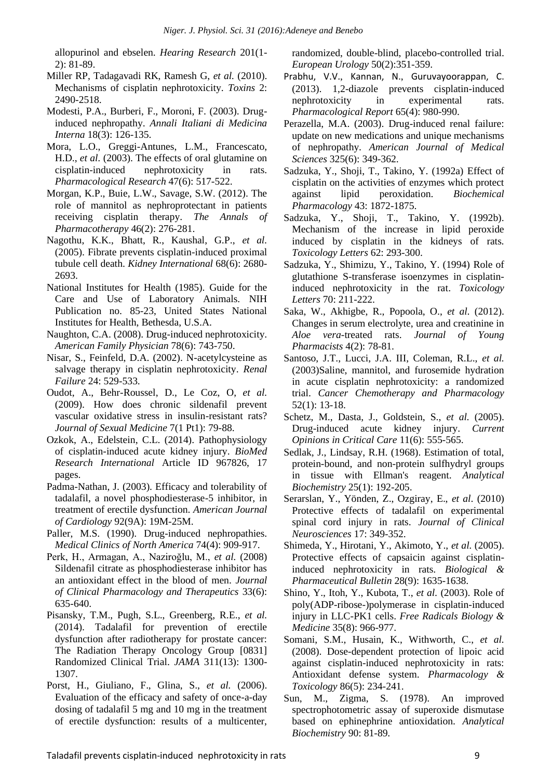allopurinol and ebselen. *Hearing Research* 201(1- 2): 81-89.

- Miller RP, Tadagavadi RK, Ramesh G, *et al.* (2010). Mechanisms of cisplatin nephrotoxicity. *Toxins* 2: 2490-2518.
- Modesti, P.A., Burberi, F., Moroni, F. (2003). Druginduced nephropathy. *Annali Italiani di Medicina Interna* 18(3): 126-135.
- Mora, L.O., Greggi-Antunes, L.M., Francescato, H.D., *et al.* (2003). The effects of oral glutamine on cisplatin-induced nephrotoxicity in rats. *Pharmacological Research* 47(6): 517-522.
- Morgan, K.P., Buie, L.W., Savage, S.W. (2012). The role of mannitol as nephroprotectant in patients receiving cisplatin therapy. *The Annals of Pharmacotherapy* 46(2): 276-281.
- Nagothu, K.K., Bhatt, R., Kaushal, G.P., *et al.* (2005). Fibrate prevents cisplatin-induced proximal tubule cell death. *Kidney International* 68(6): 2680- 2693.
- National Institutes for Health (1985). Guide for the Care and Use of Laboratory Animals. NIH Publication no. 85-23, United States National Institutes for Health, Bethesda, U.S.A.
- Naughton, C.A. (2008). Drug-induced nephrotoxicity. *American Family Physician* 78(6): 743-750.
- Nisar, S., Feinfeld, D.A. (2002). N-acetylcysteine as salvage therapy in cisplatin nephrotoxicity. *Renal Failure* 24: 529-533.
- Oudot, A., Behr-Roussel, D., Le Coz, O, *et al.*  (2009). How does chronic sildenafil prevent vascular oxidative stress in insulin-resistant rats? *Journal of Sexual Medicine* 7(1 Pt1): 79-88.
- Ozkok, A., Edelstein, C.L. (2014). Pathophysiology of cisplatin-induced acute kidney injury. *BioMed Research International* Article ID 967826, 17 pages.
- Padma-Nathan, J. (2003). Efficacy and tolerability of tadalafil, a novel phosphodiesterase-5 inhibitor, in treatment of erectile dysfunction. *American Journal of Cardiology* 92(9A): 19M-25M.
- Paller, M.S. (1990). Drug-induced nephropathies. *Medical Clinics of North America* 74(4): 909-917.
- Perk, H., Armagan, A., Naziroğlu, M., *et al.* (2008) Sildenafil citrate as phosphodiesterase inhibitor has an antioxidant effect in the blood of men. *Journal of Clinical Pharmacology and Therapeutics* 33(6): 635-640.
- Pisansky, T.M., Pugh, S.L., Greenberg, R.E., *et al.* (2014). Tadalafil for prevention of erectile dysfunction after radiotherapy for prostate cancer: The Radiation Therapy Oncology Group [0831] Randomized Clinical Trial. *JAMA* 311(13): 1300- 1307.
- Porst, H., Giuliano, F., Glina, S., *et al.* (2006). Evaluation of the efficacy and safety of once-a-day dosing of tadalafil 5 mg and 10 mg in the treatment of erectile dysfunction: results of a multicenter,

randomized, double-blind, placebo-controlled trial. *European Urology* 50(2):351-359.

- [Prabhu, V.V.](http://www.ncbi.nlm.nih.gov/pubmed?term=Prabhu%20VV%5BAuthor%5D&cauthor=true&cauthor_uid=24145092), [Kannan, N.](http://www.ncbi.nlm.nih.gov/pubmed?term=Kannan%20N%5BAuthor%5D&cauthor=true&cauthor_uid=24145092), [Guruvayoorappan, C.](http://www.ncbi.nlm.nih.gov/pubmed?term=Guruvayoorappan%20C%5BAuthor%5D&cauthor=true&cauthor_uid=24145092) (2013). 1,2-diazole prevents cisplatin-induced nephrotoxicity in experimental rats. *Pharmacological Report* 65(4): 980-990.
- Perazella, M.A. (2003). Drug-induced renal failure: update on new medications and unique mechanisms of nephropathy. *American Journal of Medical Sciences* 325(6): 349-362.
- Sadzuka, Y., Shoji, T., Takino, Y. (1992a) Effect of cisplatin on the activities of enzymes which protect against lipid peroxidation. *Biochemical Pharmacology* 43: 1872-1875.
- Sadzuka, Y., Shoji, T., Takino, Y. (1992b). Mechanism of the increase in lipid peroxide induced by cisplatin in the kidneys of rats. *Toxicology Letters* 62: 293-300.
- Sadzuka, Y., Shimizu, Y., Takino, Y. (1994) Role of glutathione S-transferase isoenzymes in cisplatininduced nephrotoxicity in the rat. *Toxicology Letters* 70: 211-222.
- Saka, W., Akhigbe, R., Popoola, O., *et al.* (2012). Changes in serum electrolyte, urea and creatinine in *Aloe vera*-treated rats. *Journal of Young Pharmacists* 4(2): 78-81.
- Santoso, J.T., Lucci, J.A. III, Coleman, R.L., *et al.* (2003)Saline, mannitol, and furosemide hydration in acute cisplatin nephrotoxicity: a randomized trial. *Cancer Chemotherapy and Pharmacology* 52(1): 13-18.
- Schetz, M., Dasta, J., Goldstein, S., *et al.* (2005). Drug-induced acute kidney injury. *Current Opinions in Critical Care* 11(6): 555-565.
- Sedlak, J., Lindsay, R.H. (1968). Estimation of total, protein-bound, and non-protein sulfhydryl groups in tissue with Ellman's reagent. *Analytical Biochemistry* 25(1): 192-205.
- Serarslan, Y., Yönden, Z., Ozgiray, E., *et al*. (2010) Protective effects of tadalafil on experimental spinal cord injury in rats. *Journal of Clinical Neurosciences* 17: 349-352.
- Shimeda, Y., Hirotani, Y., Akimoto, Y., *et al.* (2005). Protective effects of capsaicin against cisplatininduced nephrotoxicity in rats. *Biological & Pharmaceutical Bulletin* 28(9): 1635-1638.
- Shino, Y., Itoh, Y., Kubota, T., *et al.* (2003). Role of poly(ADP-ribose-)polymerase in cisplatin-induced injury in LLC-PK1 cells. *Free Radicals Biology & Medicine* 35(8): 966-977.
- Somani, S.M., Husain, K., Withworth, C., *et al.* (2008). Dose-dependent protection of lipoic acid against cisplatin-induced nephrotoxicity in rats: Antioxidant defense system. *Pharmacology & Toxicology* 86(5): 234-241.
- Sun, M., Zigma, S. (1978). An improved spectrophotometric assay of superoxide dismutase based on ephinephrine antioxidation. *Analytical Biochemistry* 90: 81-89.